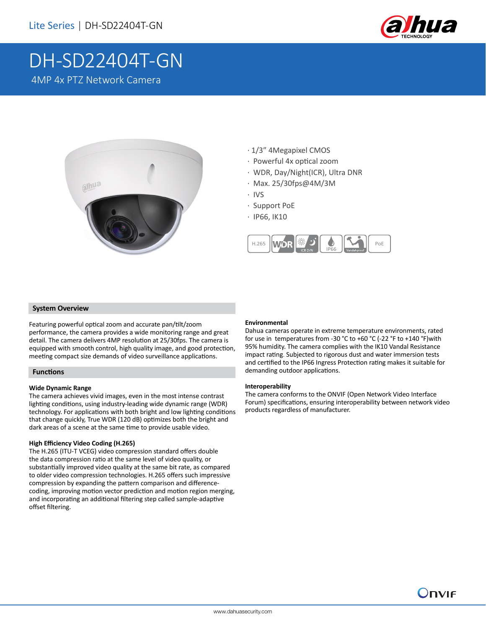

# DH-SD22404T-GN 4MP 4x PTZ Network Camera



- · 1/3" 4Megapixel CMOS
- · Powerful 4x optical zoom
- · WDR, Day/Night(ICR), Ultra DNR
- · Max. 25/30fps@4M/3M
- · IVS
- · Support PoE
- · IP66, IK10



## **System Overview**

Featuring powerful optical zoom and accurate pan/tilt/zoom performance, the camera provides a wide monitoring range and great detail. The camera delivers 4MP resolution at 25/30fps. The camera is equipped with smooth control, high quality image, and good protection, meeting compact size demands of video surveillance applications.

#### **Functions**

#### **Wide Dynamic Range**

The camera achieves vivid images, even in the most intense contrast lighting conditions, using industry-leading wide dynamic range (WDR) technology. For applications with both bright and low lighting conditions that change quickly, True WDR (120 dB) optimizes both the bright and dark areas of a scene at the same time to provide usable video.

## **High Efficiency Video Coding (H.265)**

The H.265 (ITU-T VCEG) video compression standard offers double the data compression ratio at the same level of video quality, or substantially improved video quality at the same bit rate, as compared to older video compression technologies. H.265 offers such impressive compression by expanding the pattern comparison and differencecoding, improving motion vector prediction and motion region merging, and incorporating an additional filtering step called sample-adaptive offset filtering.

### **Environmental**

Dahua cameras operate in extreme temperature environments, rated for use in temperatures from -30 °C to +60 °C (-22 °F to +140 °F)with 95% humidity. The camera complies with the IK10 Vandal Resistance impact rating. Subjected to rigorous dust and water immersion tests and certified to the IP66 Ingress Protection rating makes it suitable for demanding outdoor applications.

#### **Interoperability**

The camera conforms to the ONVIF (Open Network Video Interface Forum) specifications, ensuring interoperability between network video products regardless of manufacturer.

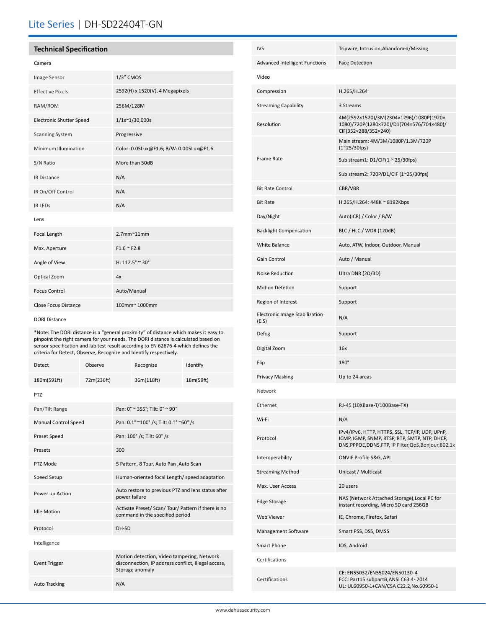# Lite Series | DH-SD22404T-GN

# **Technical Specification**

#### Camera

| Image Sensor                    | $1/3$ " CMOS                            |  |  |  |
|---------------------------------|-----------------------------------------|--|--|--|
| <b>Effective Pixels</b>         | 2592(H) x 1520(V), 4 Megapixels         |  |  |  |
| RAM/ROM                         | 256M/128M                               |  |  |  |
| <b>Electronic Shutter Speed</b> | 1/1s~1/30,000s                          |  |  |  |
| <b>Scanning System</b>          | Progressive                             |  |  |  |
| Minimum Illumination            | Color: 0.05Lux@F1.6; B/W: 0.005Lux@F1.6 |  |  |  |
| S/N Ratio                       | More than 50dB                          |  |  |  |
| <b>IR Distance</b>              | N/A                                     |  |  |  |
| IR On/Off Control               | N/A                                     |  |  |  |
| <b>IR LEDS</b>                  | N/A                                     |  |  |  |
| Lens                            |                                         |  |  |  |
| Focal Length                    | $2.7$ mm $^{\sim}$ 11mm                 |  |  |  |
| Max. Aperture                   | $F1.6 \approx F2.8$                     |  |  |  |
| Angle of View                   | H: $112.5^{\circ} \approx 30^{\circ}$   |  |  |  |
| Optical Zoom                    | 4x                                      |  |  |  |
| <b>Focus Control</b>            | Auto/Manual                             |  |  |  |
| <b>Close Focus Distance</b>     | 100mm~ 1000mm                           |  |  |  |

#### DORI Distance

\*Note: The DORI distance is a "general proximity" of distance which makes it easy to pinpoint the right camera for your needs. The DORI distance is calculated based on sensor specification and lab test result according to EN 62676-4 which defines the criteria for Detect, Observe, Recognize and Identify respectively.

| <b>Detect</b>               | Observe    |                                                                                                                      | Recognize  | Identify  |  |
|-----------------------------|------------|----------------------------------------------------------------------------------------------------------------------|------------|-----------|--|
| 180m(591ft)                 | 72m(236ft) |                                                                                                                      | 36m(118ft) | 18m(59ft) |  |
| <b>PTZ</b>                  |            |                                                                                                                      |            |           |  |
| Pan/Tilt Range              |            | Pan: 0° ~ 355°; Tilt: 0° ~ 90°                                                                                       |            |           |  |
| <b>Manual Control Speed</b> |            | Pan: 0.1° ~100° /s; Tilt: 0.1° ~60° /s                                                                               |            |           |  |
| Preset Speed                |            | Pan: 100° /s; Tilt: 60° /s                                                                                           |            |           |  |
| Presets                     |            | 300                                                                                                                  |            |           |  |
| PTZ Mode                    |            | 5 Pattern, 8 Tour, Auto Pan , Auto Scan                                                                              |            |           |  |
| Speed Setup                 |            | Human-oriented focal Length/ speed adaptation                                                                        |            |           |  |
| Power up Action             |            | Auto restore to previous PTZ and lens status after<br>power failure                                                  |            |           |  |
| <b>Idle Motion</b>          |            | Activate Preset/ Scan/ Tour/ Pattern if there is no<br>command in the specified period                               |            |           |  |
| Protocol                    |            | DH-SD                                                                                                                |            |           |  |
| Intelligence                |            |                                                                                                                      |            |           |  |
| <b>Event Trigger</b>        |            | Motion detection, Video tampering, Network<br>disconnection, IP address conflict, Illegal access,<br>Storage anomaly |            |           |  |
| <b>Auto Tracking</b>        |            | N/A                                                                                                                  |            |           |  |

| <b>IVS</b>                              | Tripwire, Intrusion, Abandoned/Missing                                                                                                                     |
|-----------------------------------------|------------------------------------------------------------------------------------------------------------------------------------------------------------|
| Advanced Intelligent Functions          | <b>Face Detection</b>                                                                                                                                      |
| Video                                   |                                                                                                                                                            |
| Compression                             | H.265/H.264                                                                                                                                                |
| <b>Streaming Capability</b>             | 3 Streams                                                                                                                                                  |
| Resolution                              | 4M(2592×1520)/3M(2304×1296)/1080P(1920×<br>1080)/720P(1280×720)/D1(704×576/704×480)/<br>CIF(352×288/352×240)                                               |
| <b>Frame Rate</b>                       | Main stream: 4M/3M/1080P/1.3M/720P<br>$(1^{\sim}25/30$ fps)                                                                                                |
|                                         | Sub stream1: $D1/CIF(1 ~ 25/30fps)$                                                                                                                        |
|                                         | Sub stream2: 720P/D1/CIF (1~25/30fps)                                                                                                                      |
| <b>Bit Rate Control</b>                 | CBR/VBR                                                                                                                                                    |
| <b>Bit Rate</b>                         | H.265/H.264: 448K ~ 8192Kbps                                                                                                                               |
| Day/Night                               | Auto(ICR) / Color / B/W                                                                                                                                    |
| <b>Backlight Compensation</b>           | BLC / HLC / WDR (120dB)                                                                                                                                    |
| <b>White Balance</b>                    | Auto, ATW, Indoor, Outdoor, Manual                                                                                                                         |
| Gain Control                            | Auto / Manual                                                                                                                                              |
| Noise Reduction                         | Ultra DNR (2D/3D)                                                                                                                                          |
| <b>Motion Detetion</b>                  | Support                                                                                                                                                    |
| Region of Interest                      | Support                                                                                                                                                    |
| Electronic Image Stabilization<br>(EIS) | N/A                                                                                                                                                        |
| Defog                                   | Support                                                                                                                                                    |
| Digital Zoom                            | 16x                                                                                                                                                        |
| Flip                                    | 180°                                                                                                                                                       |
| <b>Privacy Masking</b>                  | Up to 24 areas                                                                                                                                             |
| Network                                 |                                                                                                                                                            |
| Ethernet                                | RJ-45 (10XBase-T/100Base-TX)                                                                                                                               |
| Wi-Fi                                   | N/A                                                                                                                                                        |
| Protocol                                | IPv4/IPv6, HTTP, HTTPS, SSL, TCP/IP, UDP, UPnP,<br>ICMP, IGMP, SNMP, RTSP, RTP, SMTP, NTP, DHCP,<br>DNS, PPPOE, DDNS, FTP, IP Filter, QoS, Bonjour, 802.1x |
| Interoperability                        | ONVIF Profile S&G, API                                                                                                                                     |
| <b>Streaming Method</b>                 | Unicast / Multicast                                                                                                                                        |
| Max. User Access                        | 20 users                                                                                                                                                   |
| <b>Edge Storage</b>                     | NAS (Network Attached Storage), Local PC for<br>instant recording, Micro SD card 256GB                                                                     |
| <b>Web Viewer</b>                       | IE, Chrome, Firefox, Safari                                                                                                                                |
| Management Software                     | Smart PSS, DSS, DMSS                                                                                                                                       |
| <b>Smart Phone</b>                      | IOS, Android                                                                                                                                               |
| Certifications                          |                                                                                                                                                            |
| Certifications                          | CE: EN55032/EN55024/EN50130-4<br>FCC: Part15 subpartB, ANSI C63.4-2014<br>UL: UL60950-1+CAN/CSA C22.2,No.60950-1                                           |